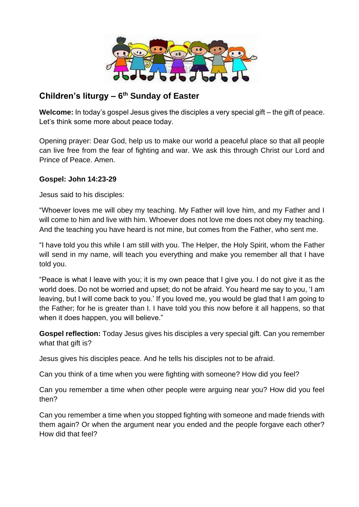

## **Children's liturgy – 6 th Sunday of Easter**

**Welcome:** In today's gospel Jesus gives the disciples a very special gift – the gift of peace. Let's think some more about peace today.

Opening prayer: Dear God, help us to make our world a peaceful place so that all people can live free from the fear of fighting and war. We ask this through Christ our Lord and Prince of Peace. Amen.

## **Gospel: John 14:23-29**

Jesus said to his disciples:

"Whoever loves me will obey my teaching. My Father will love him, and my Father and I will come to him and live with him. Whoever does not love me does not obey my teaching. And the teaching you have heard is not mine, but comes from the Father, who sent me.

"I have told you this while I am still with you. The Helper, the Holy Spirit, whom the Father will send in my name, will teach you everything and make you remember all that I have told you.

"Peace is what I leave with you; it is my own peace that I give you. I do not give it as the world does. Do not be worried and upset; do not be afraid. You heard me say to you, 'I am leaving, but I will come back to you.' If you loved me, you would be glad that I am going to the Father; for he is greater than I. I have told you this now before it all happens, so that when it does happen, you will believe."

**Gospel reflection:** Today Jesus gives his disciples a very special gift. Can you remember what that gift is?

Jesus gives his disciples peace. And he tells his disciples not to be afraid.

Can you think of a time when you were fighting with someone? How did you feel?

Can you remember a time when other people were arguing near you? How did you feel then?

Can you remember a time when you stopped fighting with someone and made friends with them again? Or when the argument near you ended and the people forgave each other? How did that feel?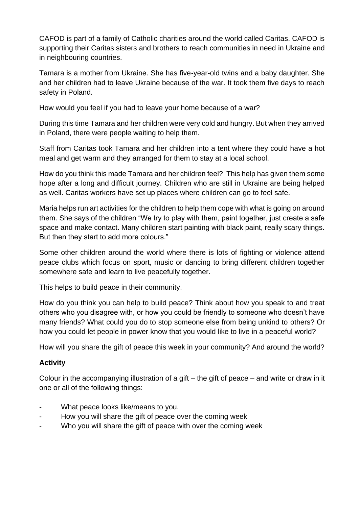CAFOD is part of a family of Catholic charities around the world called Caritas. CAFOD is supporting their Caritas sisters and brothers to reach communities in need in Ukraine and in neighbouring countries.

Tamara is a mother from Ukraine. She has five-year-old twins and a baby daughter. She and her children had to leave Ukraine because of the war. It took them five days to reach safety in Poland.

How would you feel if you had to leave your home because of a war?

During this time Tamara and her children were very cold and hungry. But when they arrived in Poland, there were people waiting to help them.

Staff from Caritas took Tamara and her children into a tent where they could have a hot meal and get warm and they arranged for them to stay at a local school.

How do you think this made Tamara and her children feel? This help has given them some hope after a long and difficult journey. Children who are still in Ukraine are being helped as well. Caritas workers have set up places where children can go to feel safe.

Maria helps run art activities for the children to help them cope with what is going on around them. She says of the children "We try to play with them, paint together, just create a safe space and make contact. Many children start painting with black paint, really scary things. But then they start to add more colours."

Some other children around the world where there is lots of fighting or violence attend peace clubs which focus on sport, music or dancing to bring different children together somewhere safe and learn to live peacefully together.

This helps to build peace in their community.

How do you think you can help to build peace? Think about how you speak to and treat others who you disagree with, or how you could be friendly to someone who doesn't have many friends? What could you do to stop someone else from being unkind to others? Or how you could let people in power know that you would like to live in a peaceful world?

How will you share the gift of peace this week in your community? And around the world?

## **Activity**

Colour in the accompanying illustration of a gift – the gift of peace – and write or draw in it one or all of the following things:

- What peace looks like/means to you.
- How you will share the gift of peace over the coming week
- Who you will share the gift of peace with over the coming week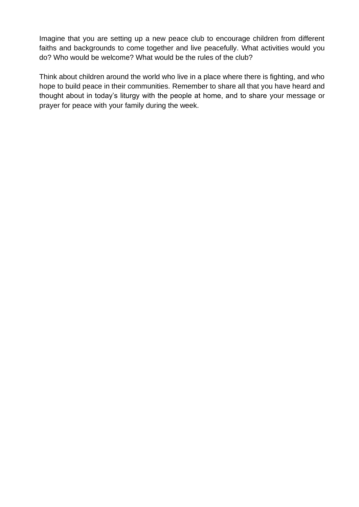Imagine that you are setting up a new peace club to encourage children from different faiths and backgrounds to come together and live peacefully. What activities would you do? Who would be welcome? What would be the rules of the club?

Think about children around the world who live in a place where there is fighting, and who hope to build peace in their communities. Remember to share all that you have heard and thought about in today's liturgy with the people at home, and to share your message or prayer for peace with your family during the week.